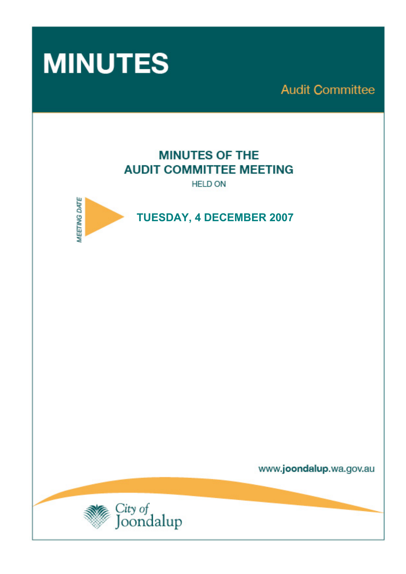

**Audit Committee** 

# **MINUTES OF THE AUDIT COMMITTEE MEETING**

**HELD ON** 



 **TUESDAY, 4 DECEMBER 2007** 

www.joondalup.wa.gov.au

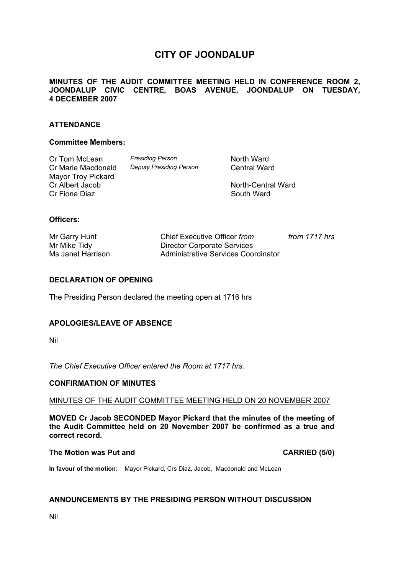# **CITY OF JOONDALUP**

# **MINUTES OF THE AUDIT COMMITTEE MEETING HELD IN CONFERENCE ROOM 2, JOONDALUP CIVIC CENTRE, BOAS AVENUE, JOONDALUP ON TUESDAY, 4 DECEMBER 2007**

# **ATTENDANCE**

#### **Committee Members:**

Cr Tom McLean *Presiding Person* North Ward Cr Marie Macdonald *Deputy Presiding Person* Central Ward Mayor Troy Pickard<br>Cr Albert Jacob Cr Fiona Diaz **South Ward** South Ward

North-Central Ward

# **Officers:**

| Mr Garry Hunt     | Chief Executive Officer from        | from 1717 hrs |
|-------------------|-------------------------------------|---------------|
| Mr Mike Tidy      | <b>Director Corporate Services</b>  |               |
| Ms Janet Harrison | Administrative Services Coordinator |               |

## **DECLARATION OF OPENING**

The Presiding Person declared the meeting open at 1716 hrs

#### **APOLOGIES/LEAVE OF ABSENCE**

Nil

*The Chief Executive Officer entered the Room at 1717 hrs.* 

#### **CONFIRMATION OF MINUTES**

# MINUTES OF THE AUDIT COMMITTEE MEETING HELD ON 20 NOVEMBER 2007

**MOVED Cr Jacob SECONDED Mayor Pickard that the minutes of the meeting of the Audit Committee held on 20 November 2007 be confirmed as a true and correct record.** 

# The Motion was Put and **CARRIED** (5/0)

**In favour of the motion:** Mayor Pickard, Crs Diaz, Jacob, Macdonald and McLean

#### **ANNOUNCEMENTS BY THE PRESIDING PERSON WITHOUT DISCUSSION**

Nil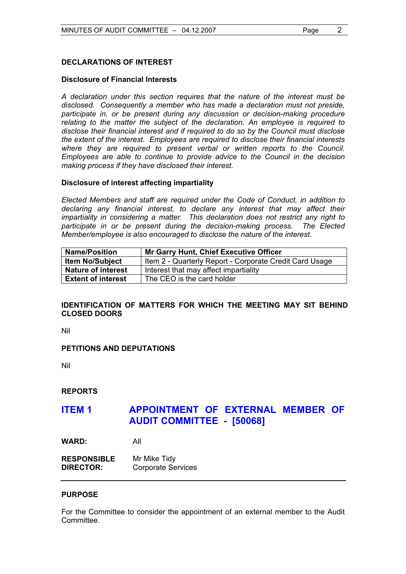# **DECLARATIONS OF INTEREST**

## **Disclosure of Financial Interests**

 *A declaration under this section requires that the nature of the interest must be disclosed. Consequently a member who has made a declaration must not preside,*  participate in, or be present during any discussion or decision-making procedure *relating to the matter the subject of the declaration. An employee is required to disclose their financial interest and if required to do so by the Council must disclose the extent of the interest. Employees are required to disclose their financial interests where they are required to present verbal or written reports to the Council. Employees are able to continue to provide advice to the Council in the decision making process if they have disclosed their interest.* 

## **Disclosure of interest affecting impartiality**

 *Elected Members and staff are required under the Code of Conduct, in addition to declaring any financial interest, to declare any interest that may affect their impartiality in considering a matter. This declaration does not restrict any right to participate in or be present during the decision-making process. The Elected Member/employee is also encouraged to disclose the nature of the interest.* 

| <b>Name/Position</b>      | <b>Mr Garry Hunt, Chief Executive Officer</b>           |
|---------------------------|---------------------------------------------------------|
| <b>Item No/Subject</b>    | Item 2 - Quarterly Report - Corporate Credit Card Usage |
| <b>Nature of interest</b> | Interest that may affect impartiality                   |
| <b>Extent of interest</b> | The CEO is the card holder                              |

# **IDENTIFICATION OF MATTERS FOR WHICH THE MEETING MAY SIT BEHIND CLOSED DOORS**

Nil

# **PETITIONS AND DEPUTATIONS**

Nil

**REPORTS** 

# **ITEM 1 APPOINTMENT OF EXTERNAL MEMBER OF AUDIT COMMITTEE - [50068]**

**WARD:** All

**RESPONSIBLE** Mr Mike Tidy **DIRECTOR:** Corporate Services

#### **PURPOSE**

For the Committee to consider the appointment of an external member to the Audit **Committee.**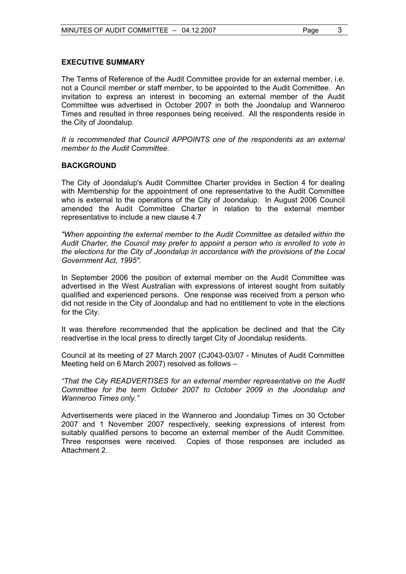# **EXECUTIVE SUMMARY**

The Terms of Reference of the Audit Committee provide for an external member, i.e. not a Council member or staff member, to be appointed to the Audit Committee. An invitation to express an interest in becoming an external member of the Audit Committee was advertised in October 2007 in both the Joondalup and Wanneroo Times and resulted in three responses being received. All the respondents reside in the City of Joondalup.

*It is recommended that Council APPOINTS one of the respondents as an external member to the Audit Committee.* 

# **BACKGROUND**

The City of Joondalup's Audit Committee Charter provides in Section 4 for dealing with Membership for the appointment of one representative to the Audit Committee who is external to the operations of the City of Joondalup. In August 2006 Council amended the Audit Committee Charter in relation to the external member representative to include a new clause 4.7

*"When appointing the external member to the Audit Committee as detailed within the Audit Charter, the Council may prefer to appoint a person who is enrolled to vote in the elections for the City of Joondalup in accordance with the provisions of the Local Government Act, 1995".* 

In September 2006 the position of external member on the Audit Committee was advertised in the West Australian with expressions of interest sought from suitably qualified and experienced persons. One response was received from a person who did not reside in the City of Joondalup and had no entitlement to vote in the elections for the City.

It was therefore recommended that the application be declined and that the City readvertise in the local press to directly target City of Joondalup residents.

Council at its meeting of 27 March 2007 (CJ043-03/07 - Minutes of Audit Committee Meeting held on 6 March 2007) resolved as follows –

*"That the City READVERTISES for an external member representative on the Audit Committee for the term October 2007 to October 2009 in the Joondalup and Wanneroo Times only."*

Advertisements were placed in the Wanneroo and Joondalup Times on 30 October 2007 and 1 November 2007 respectively, seeking expressions of interest from suitably qualified persons to become an external member of the Audit Committee. Three responses were received. Copies of those responses are included as Attachment 2.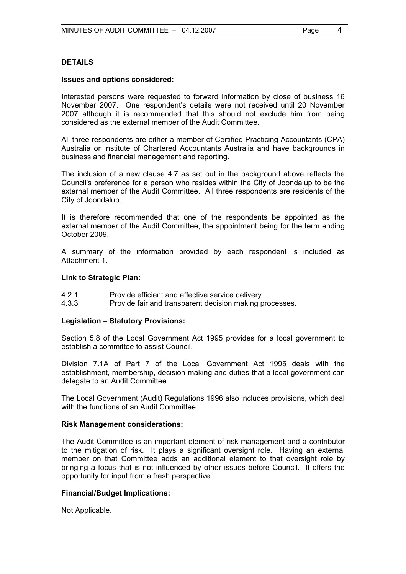# **DETAILS**

#### **Issues and options considered:**

Interested persons were requested to forward information by close of business 16 November 2007. One respondent's details were not received until 20 November 2007 although it is recommended that this should not exclude him from being considered as the external member of the Audit Committee.

All three respondents are either a member of Certified Practicing Accountants (CPA) Australia or Institute of Chartered Accountants Australia and have backgrounds in business and financial management and reporting.

The inclusion of a new clause 4.7 as set out in the background above reflects the Council's preference for a person who resides within the City of Joondalup to be the external member of the Audit Committee. All three respondents are residents of the City of Joondalup.

It is therefore recommended that one of the respondents be appointed as the external member of the Audit Committee, the appointment being for the term ending October 2009.

A summary of the information provided by each respondent is included as Attachment 1.

## **Link to Strategic Plan:**

- 4.2.1 Provide efficient and effective service delivery
- 4.3.3 Provide fair and transparent decision making processes.

# **Legislation – Statutory Provisions:**

Section 5.8 of the Local Government Act 1995 provides for a local government to establish a committee to assist Council.

Division 7.1A of Part 7 of the Local Government Act 1995 deals with the establishment, membership, decision-making and duties that a local government can delegate to an Audit Committee.

The Local Government (Audit) Regulations 1996 also includes provisions, which deal with the functions of an Audit Committee.

#### **Risk Management considerations:**

The Audit Committee is an important element of risk management and a contributor to the mitigation of risk. It plays a significant oversight role. Having an external member on that Committee adds an additional element to that oversight role by bringing a focus that is not influenced by other issues before Council. It offers the opportunity for input from a fresh perspective.

# **Financial/Budget Implications:**

Not Applicable.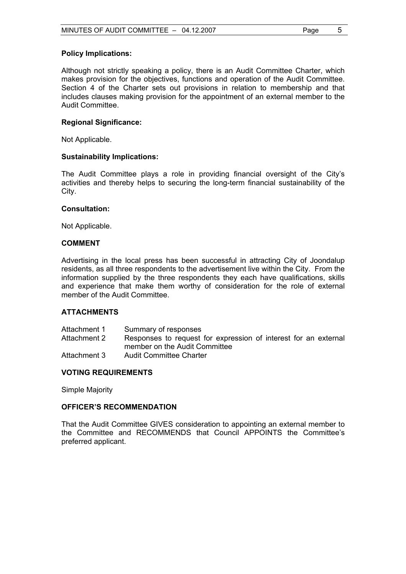#### **Policy Implications:**

Although not strictly speaking a policy, there is an Audit Committee Charter, which makes provision for the objectives, functions and operation of the Audit Committee. Section 4 of the Charter sets out provisions in relation to membership and that includes clauses making provision for the appointment of an external member to the Audit Committee.

#### **Regional Significance:**

Not Applicable.

#### **Sustainability Implications:**

The Audit Committee plays a role in providing financial oversight of the City's activities and thereby helps to securing the long-term financial sustainability of the City.

#### **Consultation:**

Not Applicable.

#### **COMMENT**

Advertising in the local press has been successful in attracting City of Joondalup residents, as all three respondents to the advertisement live within the City. From the information supplied by the three respondents they each have qualifications, skills and experience that make them worthy of consideration for the role of external member of the Audit Committee.

#### **ATTACHMENTS**

| Attachment 1 | Summary of responses                                            |
|--------------|-----------------------------------------------------------------|
| Attachment 2 | Responses to request for expression of interest for an external |
|              | member on the Audit Committee                                   |
| Attachment 3 | <b>Audit Committee Charter</b>                                  |

## **VOTING REQUIREMENTS**

Simple Majority

### **OFFICER'S RECOMMENDATION**

That the Audit Committee GIVES consideration to appointing an external member to the Committee and RECOMMENDS that Council APPOINTS the Committee's preferred applicant.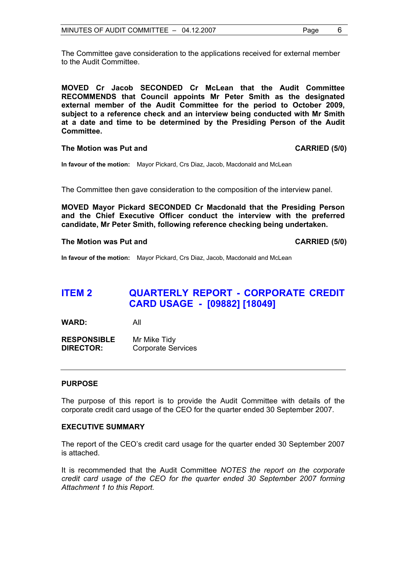The Committee gave consideration to the applications received for external member to the Audit Committee.

**MOVED Cr Jacob SECONDED Cr McLean that the Audit Committee RECOMMENDS that Council appoints Mr Peter Smith as the designated external member of the Audit Committee for the period to October 2009, subject to a reference check and an interview being conducted with Mr Smith at a date and time to be determined by the Presiding Person of the Audit Committee.** 

#### **The Motion was Put and CARRIED (5/0)**

**In favour of the motion:** Mayor Pickard, Crs Diaz, Jacob, Macdonald and McLean

The Committee then gave consideration to the composition of the interview panel.

**MOVED Mayor Pickard SECONDED Cr Macdonald that the Presiding Person and the Chief Executive Officer conduct the interview with the preferred candidate, Mr Peter Smith, following reference checking being undertaken.** 

#### The Motion was Put and **CARRIED** (5/0)

**In favour of the motion:** Mayor Pickard, Crs Diaz, Jacob, Macdonald and McLean

# **ITEM 2 QUARTERLY REPORT - CORPORATE CREDIT CARD USAGE - [09882] [18049]**

**WARD:** All

**RESPONSIBLE** Mr Mike Tidy **DIRECTOR:** Corporate Services

### **PURPOSE**

The purpose of this report is to provide the Audit Committee with details of the corporate credit card usage of the CEO for the quarter ended 30 September 2007.

#### **EXECUTIVE SUMMARY**

The report of the CEO's credit card usage for the quarter ended 30 September 2007 is attached.

It is recommended that the Audit Committee *NOTES the report on the corporate credit card usage of the CEO for the quarter ended 30 September 2007 forming Attachment 1 to this Report.*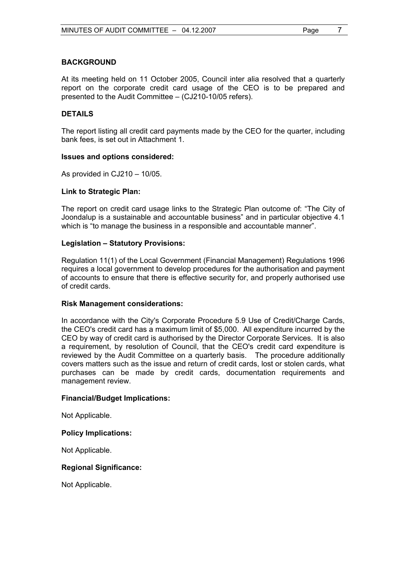## **BACKGROUND**

At its meeting held on 11 October 2005, Council inter alia resolved that a quarterly report on the corporate credit card usage of the CEO is to be prepared and presented to the Audit Committee – (CJ210-10/05 refers).

# **DETAILS**

The report listing all credit card payments made by the CEO for the quarter, including bank fees, is set out in Attachment 1.

#### **Issues and options considered:**

As provided in CJ210 – 10/05.

#### **Link to Strategic Plan:**

The report on credit card usage links to the Strategic Plan outcome of: "The City of Joondalup is a sustainable and accountable business" and in particular objective 4.1 which is "to manage the business in a responsible and accountable manner".

#### **Legislation – Statutory Provisions:**

Regulation 11(1) of the Local Government (Financial Management) Regulations 1996 requires a local government to develop procedures for the authorisation and payment of accounts to ensure that there is effective security for, and properly authorised use of credit cards.

#### **Risk Management considerations:**

In accordance with the City's Corporate Procedure 5.9 Use of Credit/Charge Cards, the CEO's credit card has a maximum limit of \$5,000. All expenditure incurred by the CEO by way of credit card is authorised by the Director Corporate Services. It is also a requirement, by resolution of Council, that the CEO's credit card expenditure is reviewed by the Audit Committee on a quarterly basis. The procedure additionally covers matters such as the issue and return of credit cards, lost or stolen cards, what purchases can be made by credit cards, documentation requirements and management review.

#### **Financial/Budget Implications:**

Not Applicable.

#### **Policy Implications:**

Not Applicable.

#### **Regional Significance:**

Not Applicable.